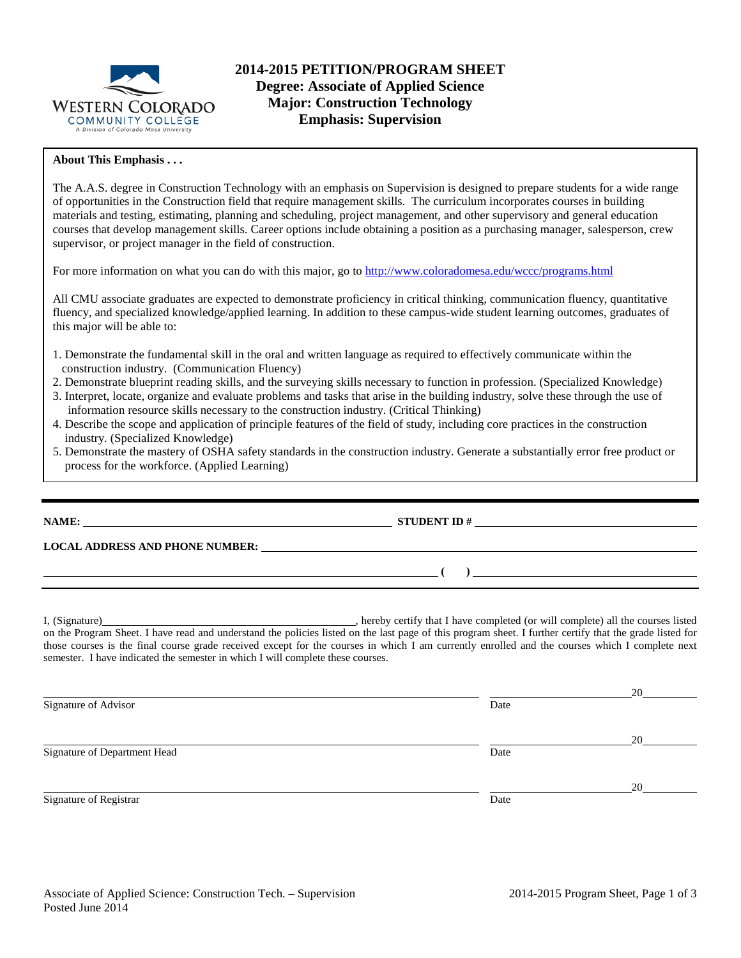

### **About This Emphasis . . .**

The A.A.S. degree in Construction Technology with an emphasis on Supervision is designed to prepare students for a wide range of opportunities in the Construction field that require management skills. The curriculum incorporates courses in building materials and testing, estimating, planning and scheduling, project management, and other supervisory and general education courses that develop management skills. Career options include obtaining a position as a purchasing manager, salesperson, crew supervisor, or project manager in the field of construction.

For more information on what you can do with this major, go to<http://www.coloradomesa.edu/wccc/programs.html>

All CMU associate graduates are expected to demonstrate proficiency in critical thinking, communication fluency, quantitative fluency, and specialized knowledge/applied learning. In addition to these campus-wide student learning outcomes, graduates of this major will be able to:

- 1. Demonstrate the fundamental skill in the oral and written language as required to effectively communicate within the construction industry. (Communication Fluency)
- 2. Demonstrate blueprint reading skills, and the surveying skills necessary to function in profession. (Specialized Knowledge)
- 3. Interpret, locate, organize and evaluate problems and tasks that arise in the building industry, solve these through the use of information resource skills necessary to the construction industry. (Critical Thinking)
- 4. Describe the scope and application of principle features of the field of study, including core practices in the construction industry. (Specialized Knowledge)
- 5. Demonstrate the mastery of OSHA safety standards in the construction industry. Generate a substantially error free product or process for the workforce. (Applied Learning)

**NAME: STUDENT ID #**

**LOCAL ADDRESS AND PHONE NUMBER:**

I, (Signature) hereby certify that I have completed (or will complete) all the courses listed on the Program Sheet. I have read and understand the policies listed on the last page of this program sheet. I further certify that the grade listed for those courses is the final course grade received except for the courses in which I am currently enrolled and the courses which I complete next semester. I have indicated the semester in which I will complete these courses.

**( )** 

 20 Signature of Advisor Date **Date**  20 Signature of Department Head Date of Department Head 20 Signature of Registrar Date Date of Registrar Date Date of Registrar Date Date of Registrar Date Date of Registrar Date of Registrar Date of Registrar Date of Registrar Date of Registrar Date of Registrar  $\sim$  Date of Regi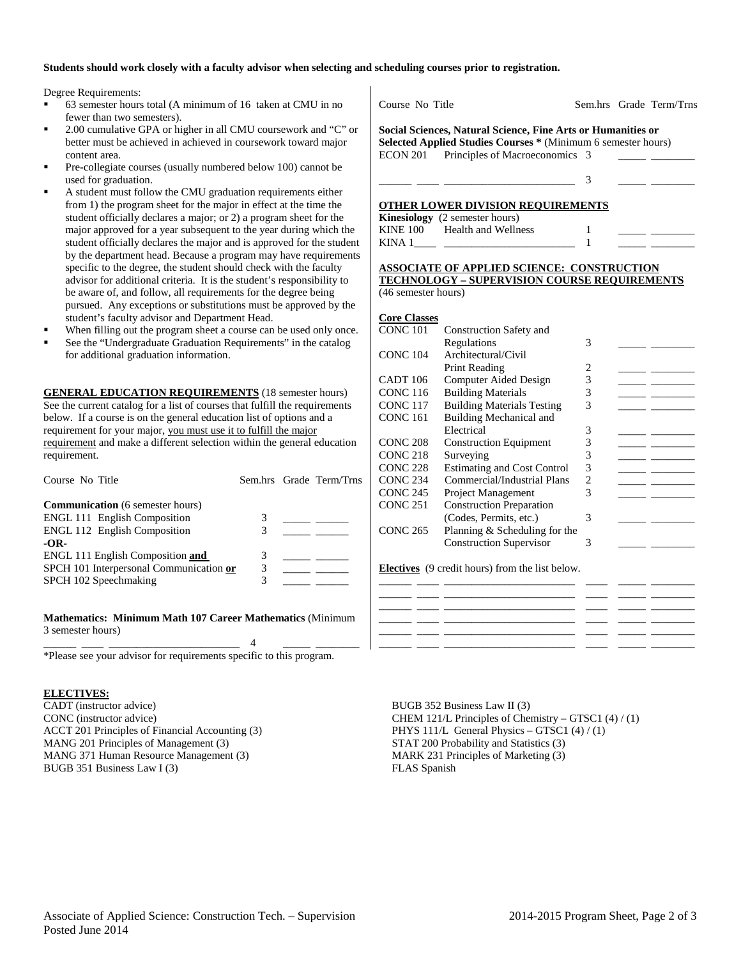#### **Students should work closely with a faculty advisor when selecting and scheduling courses prior to registration.**

Degree Requirements:

- 63 semester hours total (A minimum of 16 taken at CMU in no fewer than two semesters).
- 2.00 cumulative GPA or higher in all CMU coursework and "C" or better must be achieved in achieved in coursework toward major content area.
- Pre-collegiate courses (usually numbered below 100) cannot be used for graduation.
- A student must follow the CMU graduation requirements either from 1) the program sheet for the major in effect at the time the student officially declares a major; or 2) a program sheet for the major approved for a year subsequent to the year during which the student officially declares the major and is approved for the student by the department head. Because a program may have requirements specific to the degree, the student should check with the faculty advisor for additional criteria. It is the student's responsibility to be aware of, and follow, all requirements for the degree being pursued. Any exceptions or substitutions must be approved by the student's faculty advisor and Department Head.
- When filling out the program sheet a course can be used only once.
- See the "Undergraduate Graduation Requirements" in the catalog for additional graduation information.

**GENERAL EDUCATION REQUIREMENTS** (18 semester hours) See the current catalog for a list of courses that fulfill the requirements below. If a course is on the general education list of options and a requirement for your major, you must use it to fulfill the major requirement and make a different selection within the general education requirement.

| Course No Title                                                                                                       |        | Sem.hrs Grade Term/Trns |
|-----------------------------------------------------------------------------------------------------------------------|--------|-------------------------|
| <b>Communication</b> (6 semester hours)<br><b>ENGL 111 English Composition</b><br><b>ENGL 112 English Composition</b> |        |                         |
| $-OR-$<br><b>ENGL 111 English Composition and</b><br>SPCH 101 Interpersonal Communication or<br>SPCH 102 Speechmaking | 3<br>3 |                         |

**Mathematics: Minimum Math 107 Career Mathematics** (Minimum 3 semester hours) \_\_\_\_\_\_ \_\_\_\_ \_\_\_\_\_\_\_\_\_\_\_\_\_\_\_\_\_\_\_\_\_\_\_\_ 4 \_\_\_\_\_ \_\_\_\_\_\_\_\_

\*Please see your advisor for requirements specific to this program.

#### **ELECTIVES:**

CADT (instructor advice) CONC (instructor advice) ACCT 201 Principles of Financial Accounting (3) MANG 201 Principles of Management (3) MANG 371 Human Resource Management (3) BUGB 351 Business Law I (3)

Course No Title Sem.hrs Grade Term/Trns

**Social Sciences, Natural Science, Fine Arts or Humanities or Selected Applied Studies Courses \*** (Minimum 6 semester hours) ECON 201 Principles of Macroeconomics 3

\_\_\_\_\_\_ \_\_\_\_ \_\_\_\_\_\_\_\_\_\_\_\_\_\_\_\_\_\_\_\_\_\_\_\_ 3 \_\_\_\_\_ \_\_\_\_\_\_\_\_

## **OTHER LOWER DIVISION REQUIREMENTS**

|          | <b>Kinesiology</b> (2 semester hours) |  |  |
|----------|---------------------------------------|--|--|
| KINE 100 | Health and Wellness                   |  |  |
| KINA 1   |                                       |  |  |

|  | ASSOCIATE OF APPLIED SCIENCE:  CONSTRUCTION |  |
|--|---------------------------------------------|--|

**TECHNOLOGY – SUPERVISION COURSE REQUIREMENTS**  (46 semester hours)

| Core Classes |
|--------------|

| <b>OUTE CHANGED</b> |                                                 |                |  |
|---------------------|-------------------------------------------------|----------------|--|
| CONC <sub>101</sub> | Construction Safety and                         |                |  |
|                     | Regulations                                     | 3              |  |
| CONC <sub>104</sub> | Architectural/Civil                             |                |  |
|                     | <b>Print Reading</b>                            | 2              |  |
| CADT <sub>106</sub> | Computer Aided Design                           | 3              |  |
| <b>CONC 116</b>     | <b>Building Materials</b>                       | 3              |  |
| <b>CONC 117</b>     | <b>Building Materials Testing</b>               | 3              |  |
| <b>CONC 161</b>     | Building Mechanical and                         |                |  |
|                     | Electrical                                      | 3              |  |
| <b>CONC 208</b>     | <b>Construction Equipment</b>                   | 3              |  |
| CONC <sub>218</sub> | Surveying                                       | 3              |  |
| <b>CONC 228</b>     | <b>Estimating and Cost Control</b>              | 3              |  |
| <b>CONC 234</b>     | Commercial/Industrial Plans                     | $\overline{2}$ |  |
| <b>CONC 245</b>     | Project Management                              | 3              |  |
| <b>CONC 251</b>     | <b>Construction Preparation</b>                 |                |  |
|                     | (Codes, Permits, etc.)                          | 3              |  |
| <b>CONC 265</b>     | Planning $&$ Scheduling for the                 |                |  |
|                     | <b>Construction Supervisor</b>                  | 3              |  |
|                     | Electives (9 credit hours) from the list below. |                |  |
|                     |                                                 |                |  |

BUGB 352 Business Law II (3) CHEM 121/L Principles of Chemistry – GTSC1 (4) / (1) PHYS 111/L General Physics – GTSC1 (4) / (1) STAT 200 Probability and Statistics (3) MARK 231 Principles of Marketing (3) FLAS Spanish